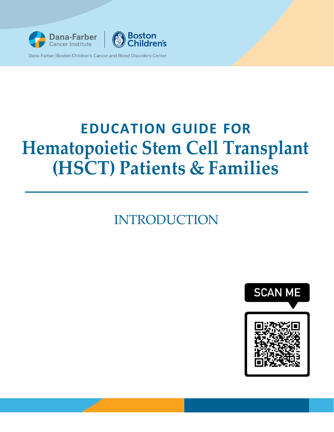

# **EDUCATION GUIDE FOR Hematopoietic Stem Cell Transplant (HSCT) Patients & Families**

dren's

## INTRODUCTION

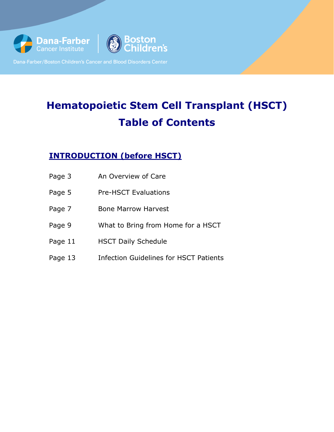

## **Hematopoietic Stem Cell Transplant (HSCT) Table of Contents**

### **INTRODUCTION (before HSCT)**

- Page 3 An Overview of Care
- Page 5 Pre-HSCT Evaluations
- Page 7 Bone Marrow Harvest
- Page 9 What to Bring from Home for a HSCT
- Page 11 HSCT Daily Schedule
- Page 13 Infection Guidelines for HSCT Patients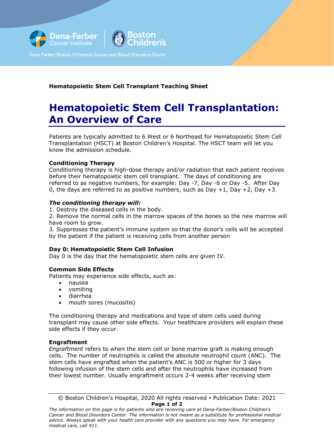

**Hematopoietic Stem Cell Transplant Teaching Sheet**

## **Hematopoietic Stem Cell Transplantation: An Overview of Care**

Patients are typically admitted to 6 West or 6 Northeast for Hematopoietic Stem Cell Transplantation (HSCT) at Boston Children's Hospital. The HSCT team will let you know the admission schedule.

### **Conditioning Therapy**

Conditioning therapy is high-dose therapy and/or radiation that each patient receives before their hematopoietic stem cell transplant. The days of conditioning are referred to as negative numbers, for example: Day -7, Day -6 or Day -5. After Day 0, the days are referred to as positive numbers, such as Day  $+1$ , Day  $+2$ , Day  $+3$ .

### *The conditioning therapy will:*

1. Destroy the diseased cells in the body.

2. Remove the normal cells in the marrow spaces of the bones so the new marrow will have room to grow.

3. Suppresses the patient's immune system so that the donor's cells will be accepted by the patient if the patient is receiving cells from another person

### **Day 0: Hematopoietic Stem Cell Infusion**

Day 0 is the day that the hematopoietic stem cells are given IV.

### **Common Side Effects**

Patients may experience side effects, such as:

- nausea
- vomiting
- diarrhea
- mouth sores (mucositis)

The conditioning therapy and medications and type of stem cells used during transplant may cause other side effects. Your healthcare providers will explain these side effects if they occur.

### **Engraftment**

*Engraftment* refers to when the stem cell or bone marrow graft is making enough cells. The number of neutrophils is called the absolute neutrophil count (ANC). The stem cells have engrafted when the patient's ANC is 500 or higher for 3 days following infusion of the stem cells and after the neutrophils have increased from their lowest number. Usually engraftment occurs 2-4 weeks after receiving stem

© Boston Children's Hospital, 2020 All rights reserved Publication Date: 2021 **Page 1 of 2**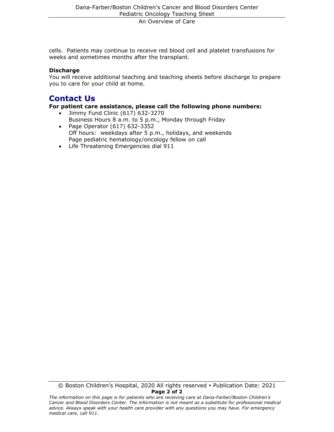cells. Patients may continue to receive red blood cell and platelet transfusions for weeks and sometimes months after the transplant.

### **Discharge**

You will receive additional teaching and teaching sheets before discharge to prepare you to care for your child at home.

### **Contact Us**

### **For patient care assistance, please call the following phone numbers:**

- Jimmy Fund Clinic (617) 632-3270 Business Hours 8 a.m. to 5 p.m., Monday through Friday
- Page Operator (617) 632-3352 Off hours: weekdays after 5 p.m., holidays, and weekends Page pediatric hematology/oncology fellow on call
- Life Threatening Emergencies dial 911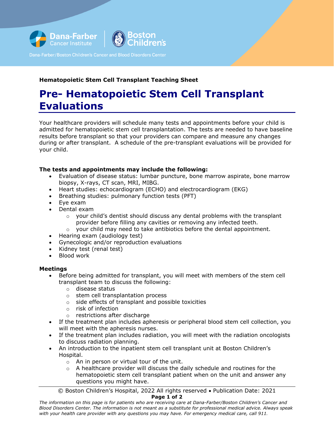

### **Hematopoietic Stem Cell Transplant Teaching Sheet**

## **Pre- Hematopoietic Stem Cell Transplant Evaluations**

Your healthcare providers will schedule many tests and appointments before your child is admitted for hematopoietic stem cell transplantation. The tests are needed to have baseline results before transplant so that your providers can compare and measure any changes during or after transplant. A schedule of the pre-transplant evaluations will be provided for your child.

#### **The tests and appointments may include the following:**

- Evaluation of disease status: lumbar puncture, bone marrow aspirate, bone marrow biopsy, X-rays, CT scan, MRI, MIBG.
- Heart studies: echocardiogram (ECHO) and electrocardiogram (EKG)
- Breathing studies: pulmonary function tests (PFT)
- Eye exam
- Dental exam
	- $\circ$  your child's dentist should discuss any dental problems with the transplant provider before filling any cavities or removing any infected teeth.
	- $\circ$  your child may need to take antibiotics before the dental appointment.
- Hearing exam (audiology test)
- Gynecologic and/or reproduction evaluations
- Kidney test (renal test)
- Blood work

#### **Meetings**

- Before being admitted for transplant, you will meet with members of the stem cell transplant team to discuss the following:
	- o disease status
	- o stem cell transplantation process
	- o side effects of transplant and possible toxicities
	- o risk of infection
	- o restrictions after discharge
- If the treatment plan includes apheresis or peripheral blood stem cell collection, you will meet with the apheresis nurses.
- If the treatment plan includes radiation, you will meet with the radiation oncologists to discuss radiation planning.
- An introduction to the inpatient stem cell transplant unit at Boston Children's Hospital.
	- $\circ$  An in person or virtual tour of the unit.<br> $\circ$  A healthcare provider will discuss the d
	- A healthcare provider will discuss the daily schedule and routines for the hematopoietic stem cell transplant patient when on the unit and answer any questions you might have.
	- © Boston Children's Hospital, 2022 All rights reserved Publication Date: 2021

#### **Page 1 of 2**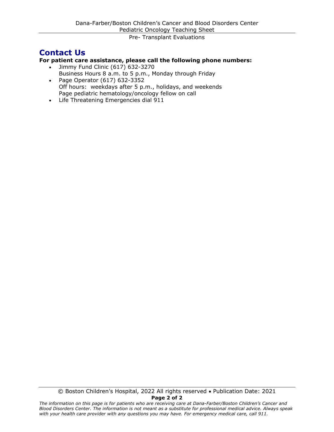### **Contact Us**

### **For patient care assistance, please call the following phone numbers:**

- Jimmy Fund Clinic (617) 632-3270 Business Hours 8 a.m. to 5 p.m., Monday through Friday
- Page Operator (617) 632-3352 Off hours: weekdays after 5 p.m., holidays, and weekends Page pediatric hematology/oncology fellow on call
- Life Threatening Emergencies dial 911

*The information on this page is for patients who are receiving care at Dana-Farber/Boston Children's Cancer and Blood Disorders Center. The information is not meant as a substitute for professional medical advice. Always speak with your health care provider with any questions you may have. For emergency medical care, call 911.*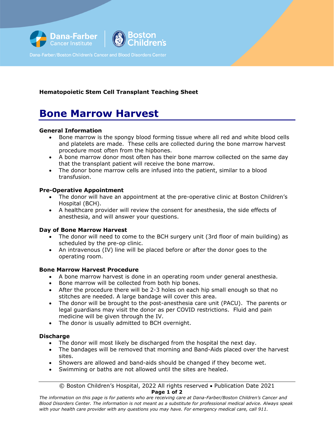

### **Hematopoietic Stem Cell Transplant Teaching Sheet**

### **Bone Marrow Harvest**

### **General Information**

- Bone marrow is the spongy blood forming tissue where all red and white blood cells and platelets are made. These cells are collected during the bone marrow harvest procedure most often from the hipbones.
- A bone marrow donor most often has their bone marrow collected on the same day that the transplant patient will receive the bone marrow.
- The donor bone marrow cells are infused into the patient, similar to a blood transfusion.

### **Pre-Operative Appointment**

- The donor will have an appointment at the pre-operative clinic at Boston Children's Hospital (BCH).
- A healthcare provider will review the consent for anesthesia, the side effects of anesthesia, and will answer your questions.

### **Day of Bone Marrow Harvest**

- The donor will need to come to the BCH surgery unit (3rd floor of main building) as scheduled by the pre-op clinic.
- An intravenous (IV) line will be placed before or after the donor goes to the operating room.

### **Bone Marrow Harvest Procedure**

- A bone marrow harvest is done in an operating room under general anesthesia.
- Bone marrow will be collected from both hip bones.
- After the procedure there will be 2-3 holes on each hip small enough so that no stitches are needed. A large bandage will cover this area.
- The donor will be brought to the post-anesthesia care unit (PACU). The parents or legal guardians may visit the donor as per COVID restrictions. Fluid and pain medicine will be given through the IV.
- The donor is usually admitted to BCH overnight.

### **Discharge**

- The donor will most likely be discharged from the hospital the next day.
- The bandages will be removed that morning and Band-Aids placed over the harvest sites.
- Showers are allowed and band-aids should be changed if they become wet.
- Swimming or baths are not allowed until the sites are healed.

#### © Boston Children's Hospital, 2022 All rights reserved • Publication Date 2021 **Page 1 of 2**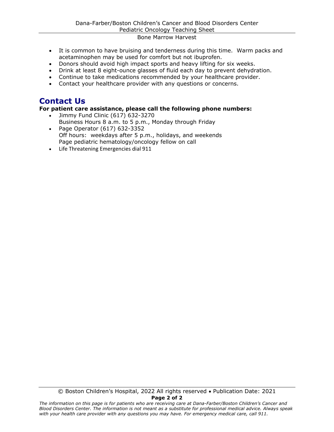- It is common to have bruising and tenderness during this time. Warm packs and acetaminophen may be used for comfort but not ibuprofen.
- Donors should avoid high impact sports and heavy lifting for six weeks.
- Drink at least 8 eight-ounce glasses of fluid each day to prevent dehydration.
- Continue to take medications recommended by your healthcare provider.
- Contact your healthcare provider with any questions or concerns.

### **Contact Us**

### **For patient care assistance, please call the following phone numbers:**

- Jimmy Fund Clinic (617) 632-3270 Business Hours 8 a.m. to 5 p.m., Monday through Friday • Page Operator (617) 632-3352
- Off hours: weekdays after 5 p.m., holidays, and weekends Page pediatric hematology/oncology fellow on call
- Life Threatening Emergencies dial 911

*The information on this page is for patients who are receiving care at Dana-Farber/Boston Children's Cancer and Blood Disorders Center. The information is not meant as a substitute for professional medical advice. Always speak with your health care provider with any questions you may have. For emergency medical care, call 911.*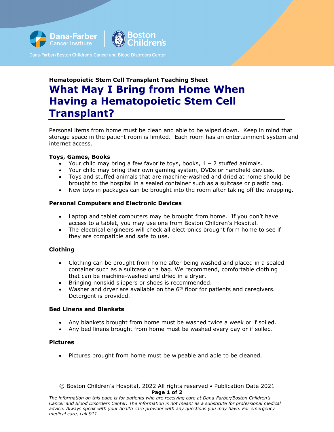

### **Hematopoietic Stem Cell Transplant Teaching Sheet What May I Bring from Home When Having a Hematopoietic Stem Cell Transplant?**

Personal items from home must be clean and able to be wiped down. Keep in mind that storage space in the patient room is limited. Each room has an entertainment system and internet access.

### **Toys, Games, Books**

- Your child may bring a few favorite toys, books,  $1 2$  stuffed animals.
- Your child may bring their own gaming system, DVDs or handheld devices.
- Toys and stuffed animals that are machine-washed and dried at home should be brought to the hospital in a sealed container such as a suitcase or plastic bag.
- New toys in packages can be brought into the room after taking off the wrapping.

### **Personal Computers and Electronic Devices**

- Laptop and tablet computers may be brought from home. If you don't have access to a tablet, you may use one from Boston Children's Hospital.
- The electrical engineers will check all electronics brought form home to see if they are compatible and safe to use.

### **Clothing**

- Clothing can be brought from home after being washed and placed in a sealed container such as a suitcase or a bag. We recommend, comfortable clothing that can be machine-washed and dried in a dryer.
- Bringing nonskid slippers or shoes is recommended.
- Washer and dryer are available on the  $6<sup>th</sup>$  floor for patients and caregivers. Detergent is provided.

### **Bed Linens and Blankets**

- Any blankets brought from home must be washed twice a week or if soiled.
- Any bed linens brought from home must be washed every day or if soiled.

### **Pictures**

• Pictures brought from home must be wipeable and able to be cleaned.

<sup>©</sup> Boston Children's Hospital, 2022 All rights reserved • Publication Date 2021 **Page 1 of 2**

*The information on this page is for patients who are receiving care at Dana-Farber/Boston Children's Cancer and Blood Disorders Center. The information is not meant as a substitute for professional medical advice. Always speak with your health care provider with any questions you may have. For emergency medical care, call 911.*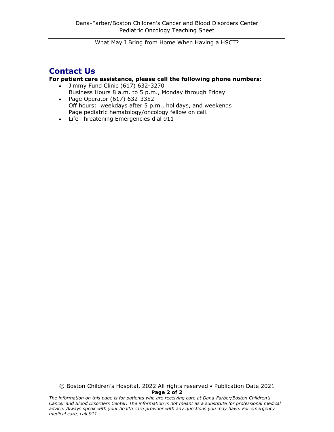What May I Bring from Home When Having a HSCT?

### **Contact Us**

### **For patient care assistance, please call the following phone numbers:**

- Jimmy Fund Clinic (617) 632-3270 Business Hours 8 a.m. to 5 p.m., Monday through Friday
- Page Operator (617) 632-3352 Off hours: weekdays after 5 p.m., holidays, and weekends Page pediatric hematology/oncology fellow on call.
- Life Threatening Emergencies dial 911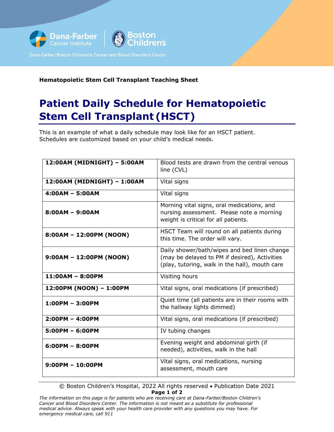

### **Hematopoietic Stem Cell Transplant Teaching Sheet**

## **Patient Daily Schedule for Hematopoietic Stem Cell Transplant (HSCT)**

This is an example of what a daily schedule may look like for an HSCT patient. Schedules are customized based on your child's medical needs.

| 12:00AM (MIDNIGHT) - 5:00AM | Blood tests are drawn from the central venous<br>line (CVL)                                                                                     |
|-----------------------------|-------------------------------------------------------------------------------------------------------------------------------------------------|
| 12:00AM (MIDNIGHT) - 1:00AM | Vital signs                                                                                                                                     |
| $4:00AM - 5:00AM$           | Vital signs                                                                                                                                     |
| $8:00AM - 9:00AM$           | Morning vital signs, oral medications, and<br>nursing assessment. Please note a morning<br>weight is critical for all patients.                 |
| 8:00AM - 12:00PM (NOON)     | HSCT Team will round on all patients during<br>this time. The order will vary.                                                                  |
| 9:00AM - 12:00PM (NOON)     | Daily shower/bath/wipes and bed linen change<br>(may be delayed to PM if desired), Activities<br>(play, tutoring, walk in the hall), mouth care |
| 11:00AM - 8:00PM            | Visiting hours                                                                                                                                  |
| 12:00PM (NOON) - 1:00PM     | Vital signs, oral medications (if prescribed)                                                                                                   |
| $1:00PM - 3:00PM$           | Quiet time (all patients are in their rooms with<br>the hallway lights dimmed)                                                                  |
| $2:00PM - 4:00PM$           | Vital signs, oral medications (if prescribed)                                                                                                   |
| $5:00PM - 6:00PM$           | IV tubing changes                                                                                                                               |
| $6:00PM - 8:00PM$           | Evening weight and abdominal girth (if<br>needed), activities, walk in the hall                                                                 |
| $9:00PM - 10:00PM$          | Vital signs, oral medications, nursing<br>assessment, mouth care                                                                                |

© Boston Children's Hospital, 2022 All rights reserved • Publication Date 2021 **Page 1 of 2**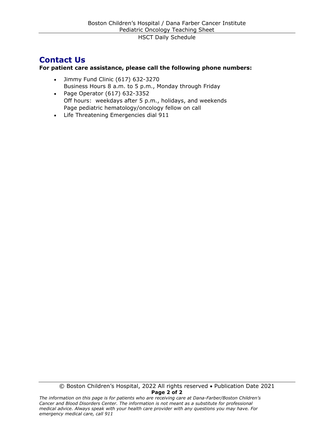### **Contact Us**

**For patient care assistance, please call the following phone numbers:**

- Jimmy Fund Clinic (617) 632-3270 Business Hours 8 a.m. to 5 p.m., Monday through Friday
- Page Operator (617) 632-3352 Off hours: weekdays after 5 p.m., holidays, and weekends Page pediatric hematology/oncology fellow on call
- Life Threatening Emergencies dial 911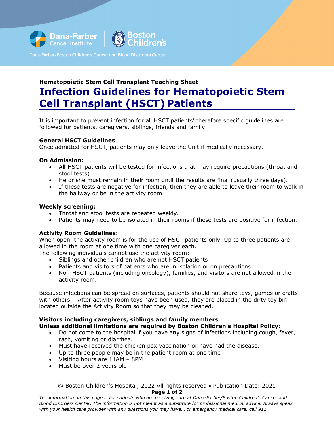

### **Hematopoietic Stem Cell Transplant Teaching Sheet Infection Guidelines for Hematopoietic Stem Cell Transplant (HSCT) Patients**

It is important to prevent infection for all HSCT patients' therefore specific guidelines are followed for patients, caregivers, siblings, friends and family.

### **General HSCT Guidelines**

Once admitted for HSCT, patients may only leave the Unit if medically necessary.

#### **On Admission:**

- All HSCT patients will be tested for infections that may require precautions (throat and stool tests).
- He or she must remain in their room until the results are final (usually three days).
- If these tests are negative for infection, then they are able to leave their room to walk in the hallway or be in the activity room.

#### **Weekly screening:**

- Throat and stool tests are repeated weekly.
- Patients may need to be isolated in their rooms if these tests are positive for infection.

#### **Activity Room Guidelines:**

When open, the activity room is for the use of HSCT patients only. Up to three patients are allowed in the room at one time with one caregiver each.

The following individuals cannot use the activity room:

- Siblings and other children who are not HSCT patients
- Patients and visitors of patients who are in isolation or on precautions
- Non-HSCT patients (including oncology), families, and visitors are not allowed in the activity room.

Because infections can be spread on surfaces, patients should not share toys, games or crafts with others. After activity room toys have been used, they are placed in the dirty toy bin located outside the Activity Room so that they may be cleaned.

#### **Visitors including caregivers, siblings and family members Unless additional limitations are required by Boston Children's Hospital Policy:**

- Do not come to the hospital if you have any signs of infections including cough, fever, rash, vomiting or diarrhea.
- Must have received the chicken pox vaccination or have had the disease.
- Up to three people may be in the patient room at one time
- Visiting hours are 11AM 8PM
- Must be over 2 years old

#### © Boston Children's Hospital, 2022 All rights reserved • Publication Date: 2021 **Page 1 of 2**